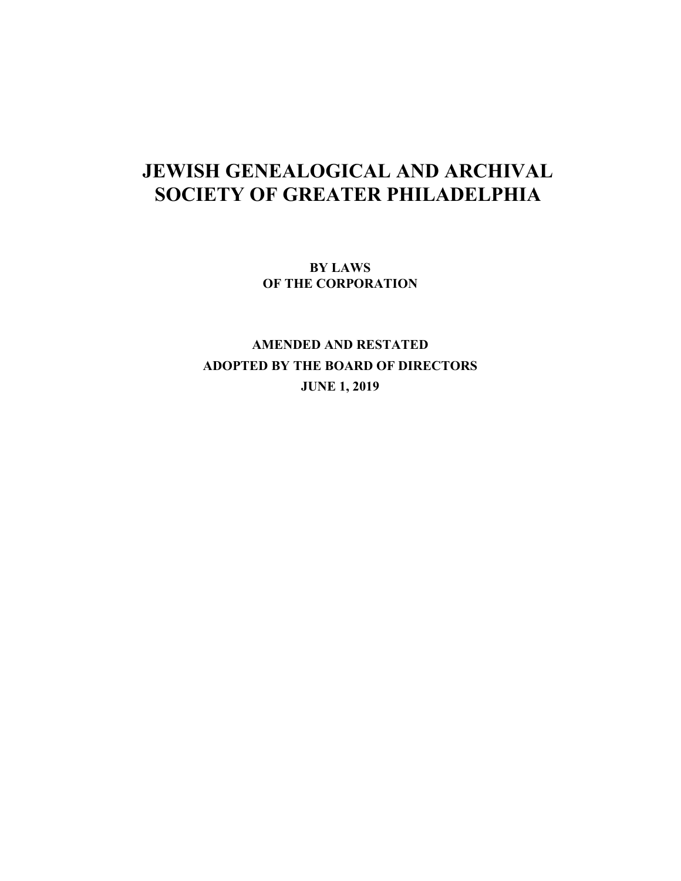# **JEWISH GENEALOGICAL AND ARCHIVAL SOCIETY OF GREATER PHILADELPHIA**

**BY LAWS OF THE CORPORATION** 

**AMENDED AND RESTATED ADOPTED BY THE BOARD OF DIRECTORS JUNE 1, 2019**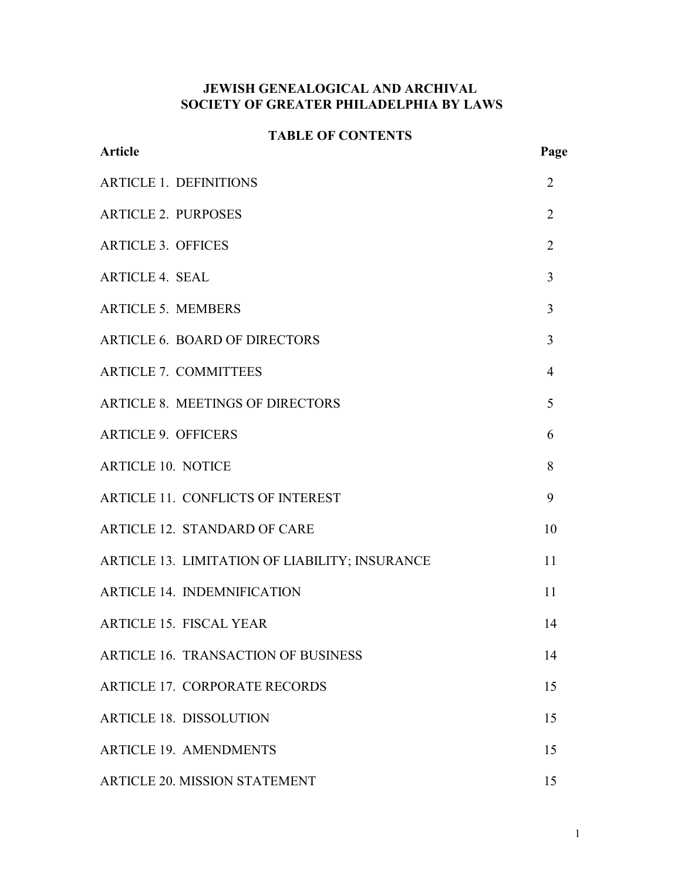# **JEWISH GENEALOGICAL AND ARCHIVAL SOCIETY OF GREATER PHILADELPHIA BY LAWS**

# **TABLE OF CONTENTS**

| <b>Article</b>                                 | Page           |
|------------------------------------------------|----------------|
| <b>ARTICLE 1. DEFINITIONS</b>                  | 2              |
| <b>ARTICLE 2. PURPOSES</b>                     | 2              |
| <b>ARTICLE 3. OFFICES</b>                      | $\overline{2}$ |
| <b>ARTICLE 4. SEAL</b>                         | 3              |
| <b>ARTICLE 5. MEMBERS</b>                      | 3              |
| <b>ARTICLE 6. BOARD OF DIRECTORS</b>           | 3              |
| <b>ARTICLE 7. COMMITTEES</b>                   | $\overline{4}$ |
| <b>ARTICLE 8. MEETINGS OF DIRECTORS</b>        | 5              |
| <b>ARTICLE 9. OFFICERS</b>                     | 6              |
| <b>ARTICLE 10. NOTICE</b>                      | 8              |
| <b>ARTICLE 11. CONFLICTS OF INTEREST</b>       | 9              |
| ARTICLE 12. STANDARD OF CARE                   | 10             |
| ARTICLE 13. LIMITATION OF LIABILITY; INSURANCE | 11             |
| <b>ARTICLE 14. INDEMNIFICATION</b>             | 11             |
| <b>ARTICLE 15. FISCAL YEAR</b>                 | 14             |
| ARTICLE 16. TRANSACTION OF BUSINESS            | 14             |
| <b>ARTICLE 17. CORPORATE RECORDS</b>           | 15             |
| <b>ARTICLE 18. DISSOLUTION</b>                 | 15             |
| <b>ARTICLE 19. AMENDMENTS</b>                  | 15             |
| <b>ARTICLE 20. MISSION STATEMENT</b>           | 15             |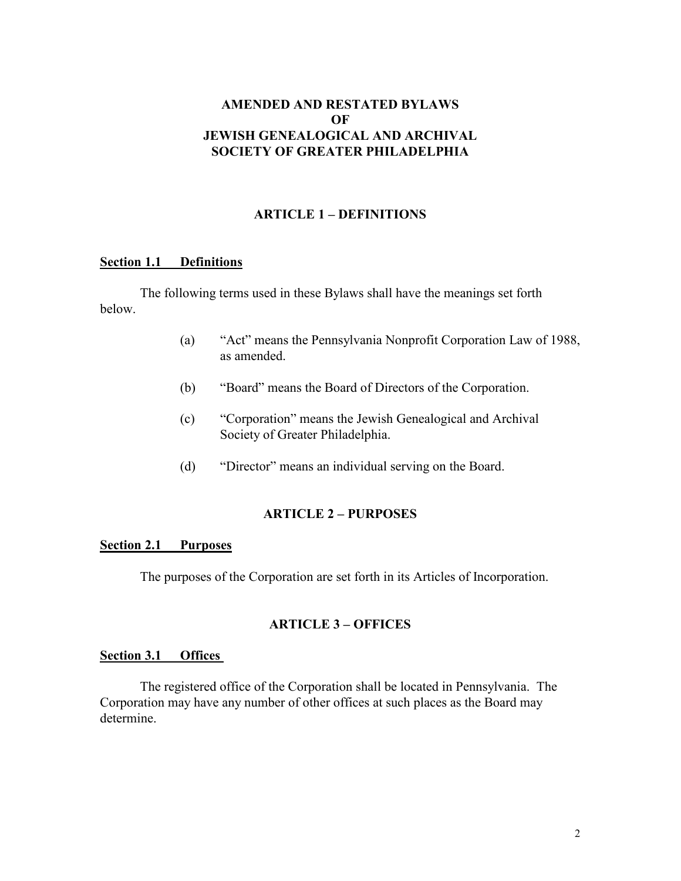# **AMENDED AND RESTATED BYLAWS OF JEWISH GENEALOGICAL AND ARCHIVAL SOCIETY OF GREATER PHILADELPHIA**

# **ARTICLE 1 – DEFINITIONS**

#### **Section 1.1 Definitions**

 The following terms used in these Bylaws shall have the meanings set forth below.

- (a) "Act" means the Pennsylvania Nonprofit Corporation Law of 1988, as amended.
- (b) "Board" means the Board of Directors of the Corporation.
- (c) "Corporation" means the Jewish Genealogical and Archival Society of Greater Philadelphia.
- (d) "Director" means an individual serving on the Board.

# **ARTICLE 2 – PURPOSES**

## **Section 2.1 Purposes**

The purposes of the Corporation are set forth in its Articles of Incorporation.

## **ARTICLE 3 – OFFICES**

#### **Section 3.1 Offices**

 The registered office of the Corporation shall be located in Pennsylvania. The Corporation may have any number of other offices at such places as the Board may determine.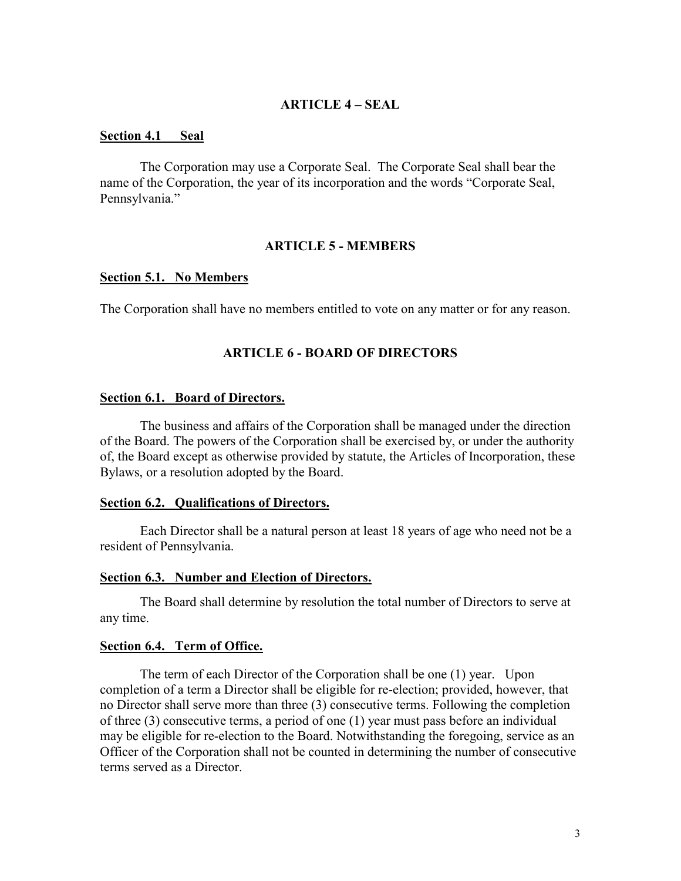## **ARTICLE 4 – SEAL**

#### **Section 4.1 Seal**

 The Corporation may use a Corporate Seal. The Corporate Seal shall bear the name of the Corporation, the year of its incorporation and the words "Corporate Seal, Pennsylvania."

### **ARTICLE 5 - MEMBERS**

#### **Section 5.1. No Members**

The Corporation shall have no members entitled to vote on any matter or for any reason.

#### **ARTICLE 6 - BOARD OF DIRECTORS**

#### **Section 6.1. Board of Directors.**

The business and affairs of the Corporation shall be managed under the direction of the Board. The powers of the Corporation shall be exercised by, or under the authority of, the Board except as otherwise provided by statute, the Articles of Incorporation, these Bylaws, or a resolution adopted by the Board.

#### **Section 6.2. Qualifications of Directors.**

Each Director shall be a natural person at least 18 years of age who need not be a resident of Pennsylvania.

#### **Section 6.3. Number and Election of Directors.**

 The Board shall determine by resolution the total number of Directors to serve at any time.

#### **Section 6.4. Term of Office.**

The term of each Director of the Corporation shall be one (1) year. Upon completion of a term a Director shall be eligible for re-election; provided, however, that no Director shall serve more than three (3) consecutive terms. Following the completion of three (3) consecutive terms, a period of one (1) year must pass before an individual may be eligible for re-election to the Board. Notwithstanding the foregoing, service as an Officer of the Corporation shall not be counted in determining the number of consecutive terms served as a Director.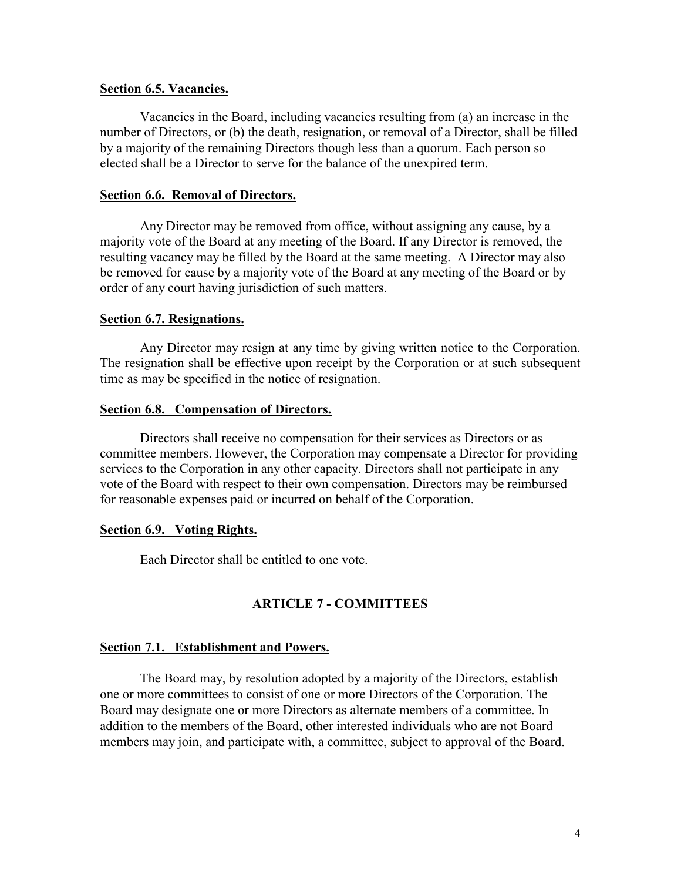#### **Section 6.5. Vacancies.**

Vacancies in the Board, including vacancies resulting from (a) an increase in the number of Directors, or (b) the death, resignation, or removal of a Director, shall be filled by a majority of the remaining Directors though less than a quorum. Each person so elected shall be a Director to serve for the balance of the unexpired term.

## **Section 6.6. Removal of Directors.**

Any Director may be removed from office, without assigning any cause, by a majority vote of the Board at any meeting of the Board. If any Director is removed, the resulting vacancy may be filled by the Board at the same meeting. A Director may also be removed for cause by a majority vote of the Board at any meeting of the Board or by order of any court having jurisdiction of such matters.

## **Section 6.7. Resignations.**

Any Director may resign at any time by giving written notice to the Corporation. The resignation shall be effective upon receipt by the Corporation or at such subsequent time as may be specified in the notice of resignation.

## **Section 6.8. Compensation of Directors.**

Directors shall receive no compensation for their services as Directors or as committee members. However, the Corporation may compensate a Director for providing services to the Corporation in any other capacity. Directors shall not participate in any vote of the Board with respect to their own compensation. Directors may be reimbursed for reasonable expenses paid or incurred on behalf of the Corporation.

#### **Section 6.9. Voting Rights.**

Each Director shall be entitled to one vote.

## **ARTICLE 7 - COMMITTEES**

## **Section 7.1. Establishment and Powers.**

 The Board may, by resolution adopted by a majority of the Directors, establish one or more committees to consist of one or more Directors of the Corporation. The Board may designate one or more Directors as alternate members of a committee. In addition to the members of the Board, other interested individuals who are not Board members may join, and participate with, a committee, subject to approval of the Board.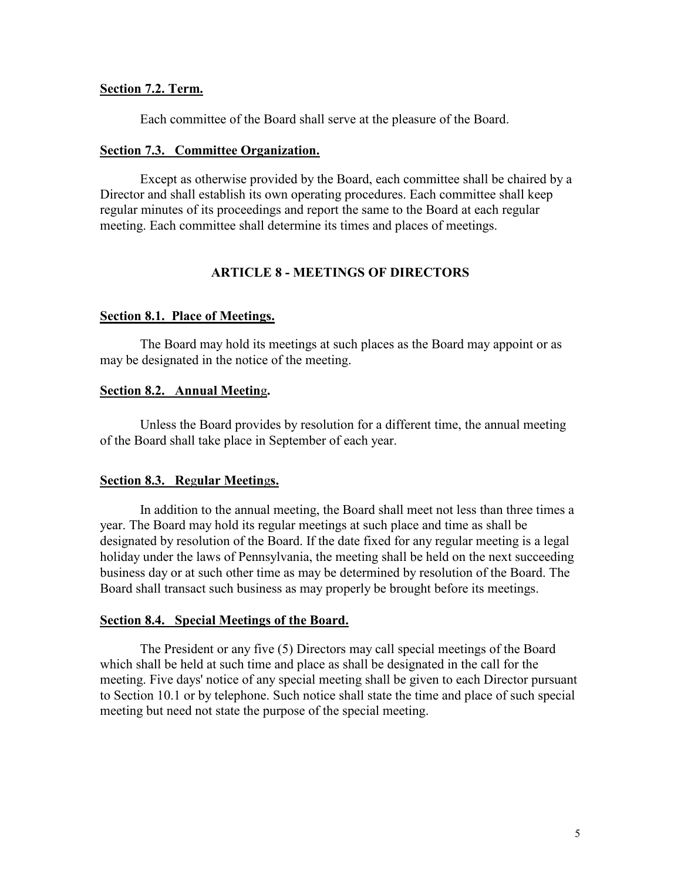#### **Section 7.2. Term.**

Each committee of the Board shall serve at the pleasure of the Board.

#### **Section 7.3. Committee Organization.**

Except as otherwise provided by the Board, each committee shall be chaired by a Director and shall establish its own operating procedures. Each committee shall keep regular minutes of its proceedings and report the same to the Board at each regular meeting. Each committee shall determine its times and places of meetings.

## **ARTICLE 8 - MEETINGS OF DIRECTORS**

## **Section 8.1. Place of Meetings.**

The Board may hold its meetings at such places as the Board may appoint or as may be designated in the notice of the meeting.

# **Section 8.2. Annual Meetin**g**.**

Unless the Board provides by resolution for a different time, the annual meeting of the Board shall take place in September of each year.

## **Section 8.3. Re**g**ular Meetin**g**s.**

 In addition to the annual meeting, the Board shall meet not less than three times a year. The Board may hold its regular meetings at such place and time as shall be designated by resolution of the Board. If the date fixed for any regular meeting is a legal holiday under the laws of Pennsylvania, the meeting shall be held on the next succeeding business day or at such other time as may be determined by resolution of the Board. The Board shall transact such business as may properly be brought before its meetings.

#### **Section 8.4. Special Meetings of the Board.**

The President or any five (5) Directors may call special meetings of the Board which shall be held at such time and place as shall be designated in the call for the meeting. Five days' notice of any special meeting shall be given to each Director pursuant to Section 10.1 or by telephone. Such notice shall state the time and place of such special meeting but need not state the purpose of the special meeting.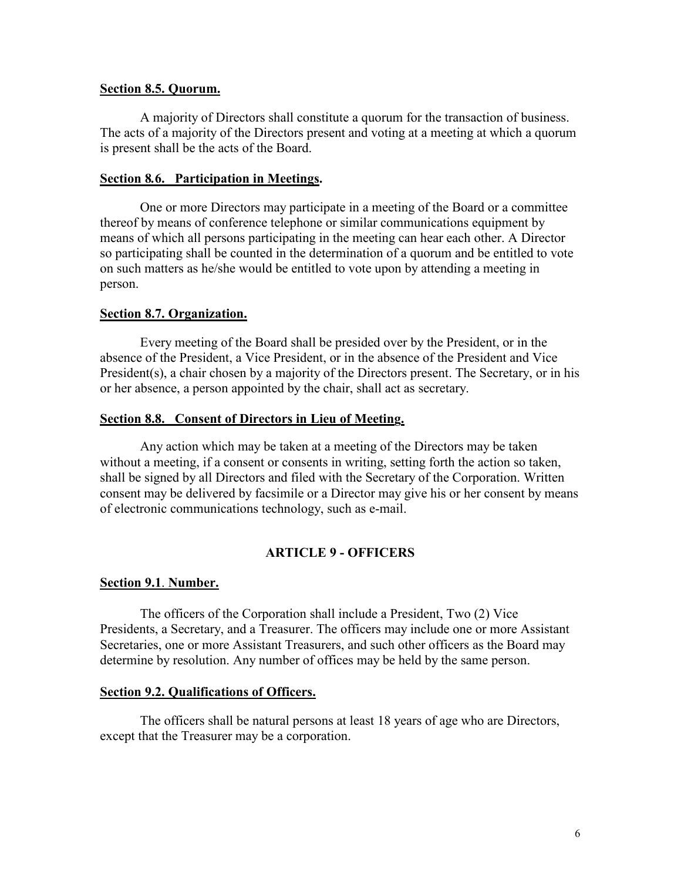#### **Section 8.5. Quorum.**

A majority of Directors shall constitute a quorum for the transaction of business. The acts of a majority of the Directors present and voting at a meeting at which a quorum is present shall be the acts of the Board.

## **Section 8***.***6.****Participation in Meetings.**

One or more Directors may participate in a meeting of the Board or a committee thereof by means of conference telephone or similar communications equipment by means of which all persons participating in the meeting can hear each other. A Director so participating shall be counted in the determination of a quorum and be entitled to vote on such matters as he/she would be entitled to vote upon by attending a meeting in person.

## **Section 8.7. Organization.**

Every meeting of the Board shall be presided over by the President, or in the absence of the President, a Vice President, or in the absence of the President and Vice President(s), a chair chosen by a majority of the Directors present. The Secretary, or in his or her absence, a person appointed by the chair, shall act as secretary.

## **Section 8.8. Consent of Directors in Lieu of Meeting.**

Any action which may be taken at a meeting of the Directors may be taken without a meeting, if a consent or consents in writing, setting forth the action so taken, shall be signed by all Directors and filed with the Secretary of the Corporation. Written consent may be delivered by facsimile or a Director may give his or her consent by means of electronic communications technology, such as e-mail.

## **ARTICLE 9 - OFFICERS**

## **Section 9.1**. **Number.**

The officers of the Corporation shall include a President, Two (2) Vice Presidents, a Secretary, and a Treasurer. The officers may include one or more Assistant Secretaries, one or more Assistant Treasurers, and such other officers as the Board may determine by resolution. Any number of offices may be held by the same person.

## **Section 9.2. Qualifications of Officers.**

The officers shall be natural persons at least 18 years of age who are Directors, except that the Treasurer may be a corporation.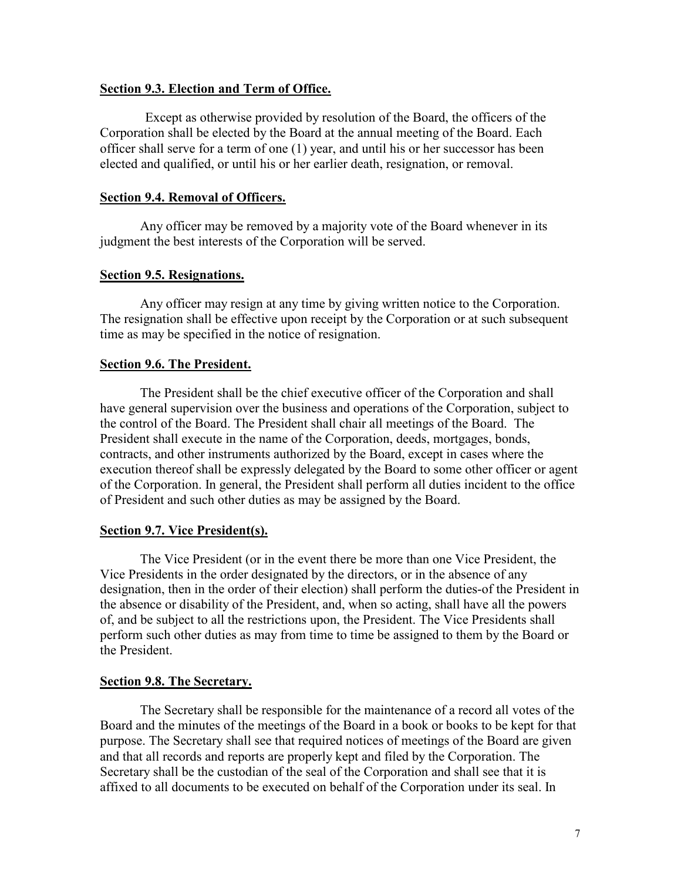## **Section 9.3. Election and Term of Office.**

Except as otherwise provided by resolution of the Board, the officers of the Corporation shall be elected by the Board at the annual meeting of the Board. Each officer shall serve for a term of one (1) year, and until his or her successor has been elected and qualified, or until his or her earlier death, resignation, or removal.

## **Section 9.4. Removal of Officers.**

Any officer may be removed by a majority vote of the Board whenever in its judgment the best interests of the Corporation will be served.

## **Section 9.5. Resignations.**

Any officer may resign at any time by giving written notice to the Corporation. The resignation shall be effective upon receipt by the Corporation or at such subsequent time as may be specified in the notice of resignation.

## **Section 9.6. The President.**

The President shall be the chief executive officer of the Corporation and shall have general supervision over the business and operations of the Corporation, subject to the control of the Board. The President shall chair all meetings of the Board. The President shall execute in the name of the Corporation, deeds, mortgages, bonds, contracts, and other instruments authorized by the Board, except in cases where the execution thereof shall be expressly delegated by the Board to some other officer or agent of the Corporation. In general, the President shall perform all duties incident to the office of President and such other duties as may be assigned by the Board.

## **Section 9.7. Vice President(s).**

The Vice President (or in the event there be more than one Vice President, the Vice Presidents in the order designated by the directors, or in the absence of any designation, then in the order of their election) shall perform the duties-of the President in the absence or disability of the President, and, when so acting, shall have all the powers of, and be subject to all the restrictions upon, the President. The Vice Presidents shall perform such other duties as may from time to time be assigned to them by the Board or the President.

## **Section 9.8. The Secretary.**

The Secretary shall be responsible for the maintenance of a record all votes of the Board and the minutes of the meetings of the Board in a book or books to be kept for that purpose. The Secretary shall see that required notices of meetings of the Board are given and that all records and reports are properly kept and filed by the Corporation. The Secretary shall be the custodian of the seal of the Corporation and shall see that it is affixed to all documents to be executed on behalf of the Corporation under its seal. In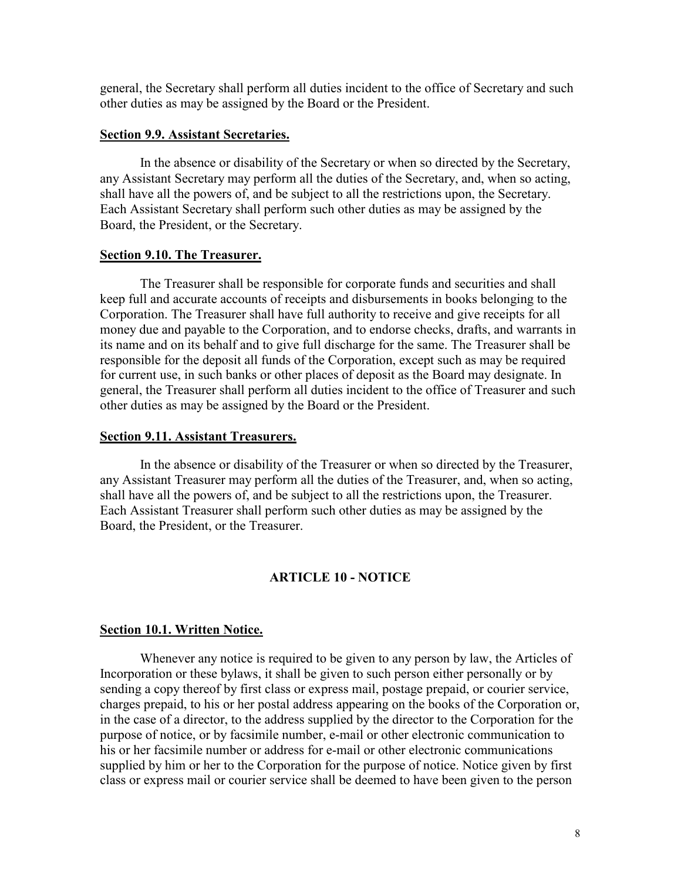general, the Secretary shall perform all duties incident to the office of Secretary and such other duties as may be assigned by the Board or the President.

#### **Section 9.9. Assistant Secretaries.**

In the absence or disability of the Secretary or when so directed by the Secretary, any Assistant Secretary may perform all the duties of the Secretary, and, when so acting, shall have all the powers of, and be subject to all the restrictions upon, the Secretary. Each Assistant Secretary shall perform such other duties as may be assigned by the Board, the President, or the Secretary.

#### **Section 9.10. The Treasurer.**

The Treasurer shall be responsible for corporate funds and securities and shall keep full and accurate accounts of receipts and disbursements in books belonging to the Corporation. The Treasurer shall have full authority to receive and give receipts for all money due and payable to the Corporation, and to endorse checks, drafts, and warrants in its name and on its behalf and to give full discharge for the same. The Treasurer shall be responsible for the deposit all funds of the Corporation, except such as may be required for current use, in such banks or other places of deposit as the Board may designate. In general, the Treasurer shall perform all duties incident to the office of Treasurer and such other duties as may be assigned by the Board or the President.

#### **Section 9.11. Assistant Treasurers.**

In the absence or disability of the Treasurer or when so directed by the Treasurer, any Assistant Treasurer may perform all the duties of the Treasurer, and, when so acting, shall have all the powers of, and be subject to all the restrictions upon, the Treasurer. Each Assistant Treasurer shall perform such other duties as may be assigned by the Board, the President, or the Treasurer.

## **ARTICLE 10 - NOTICE**

#### **Section 10.1. Written Notice.**

Whenever any notice is required to be given to any person by law, the Articles of Incorporation or these bylaws, it shall be given to such person either personally or by sending a copy thereof by first class or express mail, postage prepaid, or courier service, charges prepaid, to his or her postal address appearing on the books of the Corporation or, in the case of a director, to the address supplied by the director to the Corporation for the purpose of notice, or by facsimile number, e-mail or other electronic communication to his or her facsimile number or address for e-mail or other electronic communications supplied by him or her to the Corporation for the purpose of notice. Notice given by first class or express mail or courier service shall be deemed to have been given to the person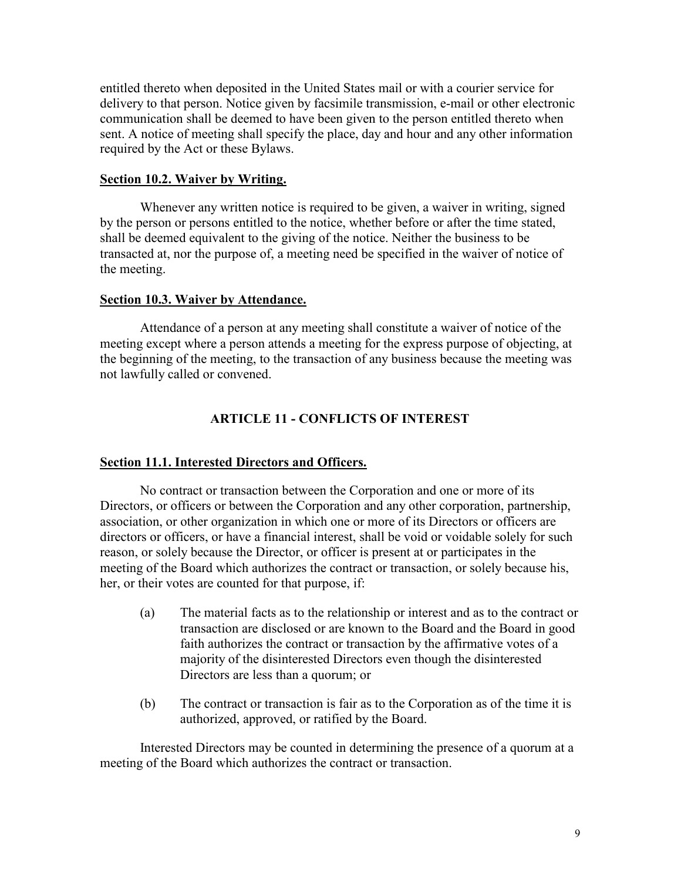entitled thereto when deposited in the United States mail or with a courier service for delivery to that person. Notice given by facsimile transmission, e-mail or other electronic communication shall be deemed to have been given to the person entitled thereto when sent. A notice of meeting shall specify the place, day and hour and any other information required by the Act or these Bylaws.

#### **Section 10.2. Waiver by Writing.**

Whenever any written notice is required to be given, a waiver in writing, signed by the person or persons entitled to the notice, whether before or after the time stated, shall be deemed equivalent to the giving of the notice. Neither the business to be transacted at, nor the purpose of, a meeting need be specified in the waiver of notice of the meeting.

## **Section 10.3. Waiver by Attendance.**

Attendance of a person at any meeting shall constitute a waiver of notice of the meeting except where a person attends a meeting for the express purpose of objecting, at the beginning of the meeting, to the transaction of any business because the meeting was not lawfully called or convened.

# **ARTICLE 11 - CONFLICTS OF INTEREST**

## **Section 11.1. Interested Directors and Officers.**

No contract or transaction between the Corporation and one or more of its Directors, or officers or between the Corporation and any other corporation, partnership, association, or other organization in which one or more of its Directors or officers are directors or officers, or have a financial interest, shall be void or voidable solely for such reason, or solely because the Director, or officer is present at or participates in the meeting of the Board which authorizes the contract or transaction, or solely because his, her, or their votes are counted for that purpose, if:

- (a) The material facts as to the relationship or interest and as to the contract or transaction are disclosed or are known to the Board and the Board in good faith authorizes the contract or transaction by the affirmative votes of a majority of the disinterested Directors even though the disinterested Directors are less than a quorum; or
- (b) The contract or transaction is fair as to the Corporation as of the time it is authorized, approved, or ratified by the Board.

Interested Directors may be counted in determining the presence of a quorum at a meeting of the Board which authorizes the contract or transaction.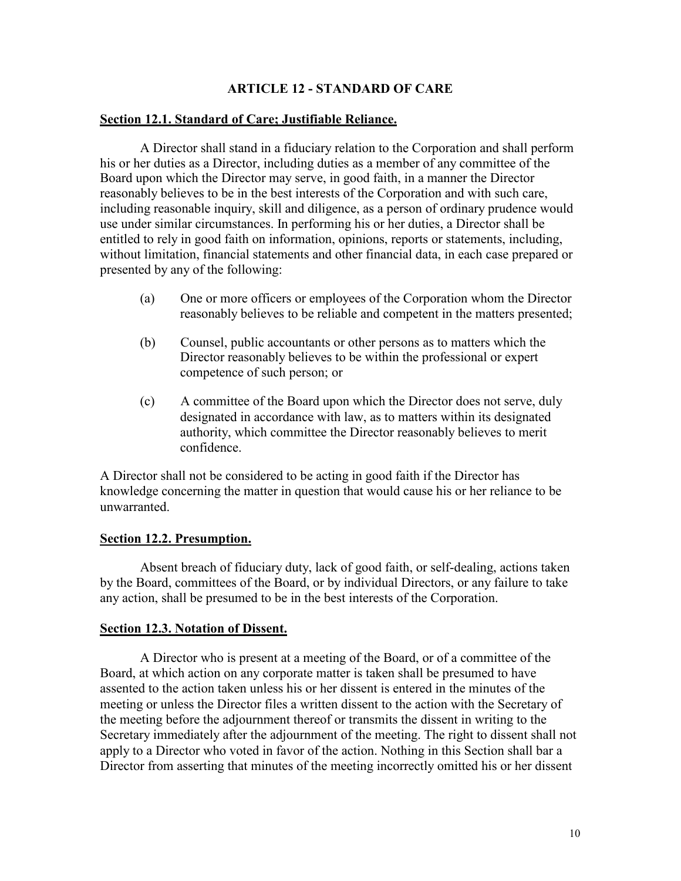## **ARTICLE 12 - STANDARD OF CARE**

#### **Section 12.1. Standard of Care; Justifiable Reliance.**

A Director shall stand in a fiduciary relation to the Corporation and shall perform his or her duties as a Director, including duties as a member of any committee of the Board upon which the Director may serve, in good faith, in a manner the Director reasonably believes to be in the best interests of the Corporation and with such care, including reasonable inquiry, skill and diligence, as a person of ordinary prudence would use under similar circumstances. In performing his or her duties, a Director shall be entitled to rely in good faith on information, opinions, reports or statements, including, without limitation, financial statements and other financial data, in each case prepared or presented by any of the following:

- (a) One or more officers or employees of the Corporation whom the Director reasonably believes to be reliable and competent in the matters presented;
- (b) Counsel, public accountants or other persons as to matters which the Director reasonably believes to be within the professional or expert competence of such person; or
- (c) A committee of the Board upon which the Director does not serve, duly designated in accordance with law, as to matters within its designated authority, which committee the Director reasonably believes to merit confidence.

A Director shall not be considered to be acting in good faith if the Director has knowledge concerning the matter in question that would cause his or her reliance to be unwarranted.

#### **Section 12.2. Presumption.**

Absent breach of fiduciary duty, lack of good faith, or self-dealing, actions taken by the Board, committees of the Board, or by individual Directors, or any failure to take any action, shall be presumed to be in the best interests of the Corporation.

#### **Section 12.3. Notation of Dissent.**

A Director who is present at a meeting of the Board, or of a committee of the Board, at which action on any corporate matter is taken shall be presumed to have assented to the action taken unless his or her dissent is entered in the minutes of the meeting or unless the Director files a written dissent to the action with the Secretary of the meeting before the adjournment thereof or transmits the dissent in writing to the Secretary immediately after the adjournment of the meeting. The right to dissent shall not apply to a Director who voted in favor of the action. Nothing in this Section shall bar a Director from asserting that minutes of the meeting incorrectly omitted his or her dissent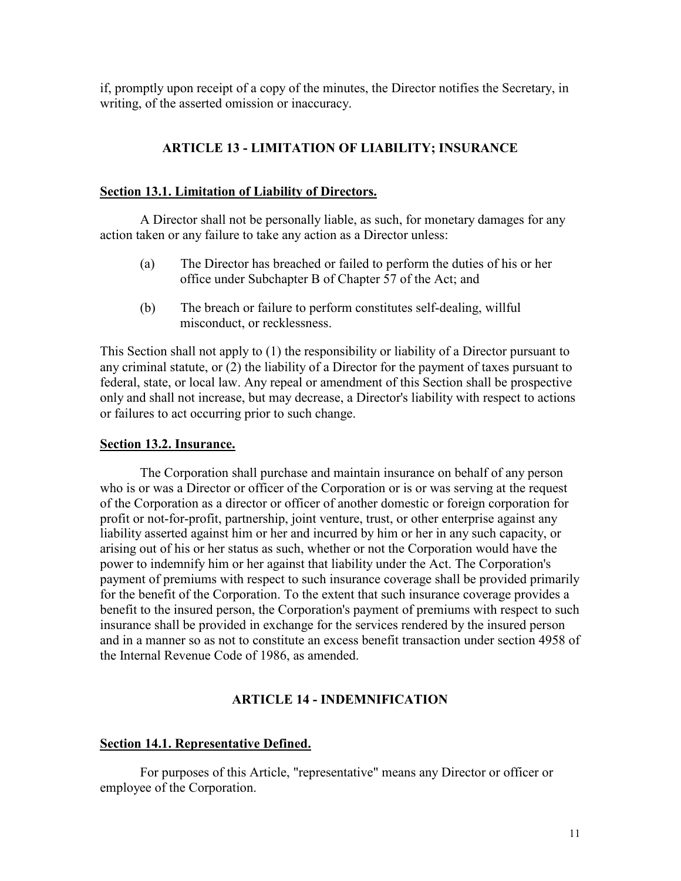if, promptly upon receipt of a copy of the minutes, the Director notifies the Secretary, in writing, of the asserted omission or inaccuracy.

# **ARTICLE 13 - LIMITATION OF LIABILITY; INSURANCE**

## **Section 13.1. Limitation of Liability of Directors.**

A Director shall not be personally liable, as such, for monetary damages for any action taken or any failure to take any action as a Director unless:

- (a) The Director has breached or failed to perform the duties of his or her office under Subchapter B of Chapter 57 of the Act; and
- (b) The breach or failure to perform constitutes self-dealing, willful misconduct, or recklessness.

This Section shall not apply to (1) the responsibility or liability of a Director pursuant to any criminal statute, or (2) the liability of a Director for the payment of taxes pursuant to federal, state, or local law. Any repeal or amendment of this Section shall be prospective only and shall not increase, but may decrease, a Director's liability with respect to actions or failures to act occurring prior to such change.

## **Section 13.2. Insurance.**

The Corporation shall purchase and maintain insurance on behalf of any person who is or was a Director or officer of the Corporation or is or was serving at the request of the Corporation as a director or officer of another domestic or foreign corporation for profit or not-for-profit, partnership, joint venture, trust, or other enterprise against any liability asserted against him or her and incurred by him or her in any such capacity, or arising out of his or her status as such, whether or not the Corporation would have the power to indemnify him or her against that liability under the Act. The Corporation's payment of premiums with respect to such insurance coverage shall be provided primarily for the benefit of the Corporation. To the extent that such insurance coverage provides a benefit to the insured person, the Corporation's payment of premiums with respect to such insurance shall be provided in exchange for the services rendered by the insured person and in a manner so as not to constitute an excess benefit transaction under section 4958 of the Internal Revenue Code of 1986, as amended.

# **ARTICLE 14 - INDEMNIFICATION**

# **Section 14.1. Representative Defined.**

For purposes of this Article, "representative" means any Director or officer or employee of the Corporation.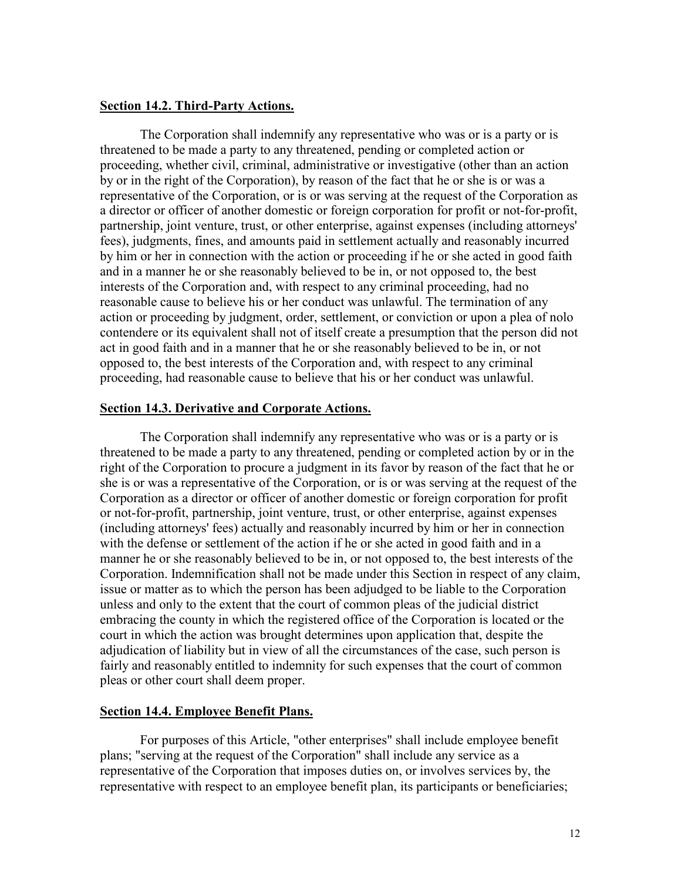#### **Section 14.2. Third-Party Actions.**

The Corporation shall indemnify any representative who was or is a party or is threatened to be made a party to any threatened, pending or completed action or proceeding, whether civil, criminal, administrative or investigative (other than an action by or in the right of the Corporation), by reason of the fact that he or she is or was a representative of the Corporation, or is or was serving at the request of the Corporation as a director or officer of another domestic or foreign corporation for profit or not-for-profit, partnership, joint venture, trust, or other enterprise, against expenses (including attorneys' fees), judgments, fines, and amounts paid in settlement actually and reasonably incurred by him or her in connection with the action or proceeding if he or she acted in good faith and in a manner he or she reasonably believed to be in, or not opposed to, the best interests of the Corporation and, with respect to any criminal proceeding, had no reasonable cause to believe his or her conduct was unlawful. The termination of any action or proceeding by judgment, order, settlement, or conviction or upon a plea of nolo contendere or its equivalent shall not of itself create a presumption that the person did not act in good faith and in a manner that he or she reasonably believed to be in, or not opposed to, the best interests of the Corporation and, with respect to any criminal proceeding, had reasonable cause to believe that his or her conduct was unlawful.

#### **Section 14.3. Derivative and Corporate Actions.**

The Corporation shall indemnify any representative who was or is a party or is threatened to be made a party to any threatened, pending or completed action by or in the right of the Corporation to procure a judgment in its favor by reason of the fact that he or she is or was a representative of the Corporation, or is or was serving at the request of the Corporation as a director or officer of another domestic or foreign corporation for profit or not-for-profit, partnership, joint venture, trust, or other enterprise, against expenses (including attorneys' fees) actually and reasonably incurred by him or her in connection with the defense or settlement of the action if he or she acted in good faith and in a manner he or she reasonably believed to be in, or not opposed to, the best interests of the Corporation. Indemnification shall not be made under this Section in respect of any claim, issue or matter as to which the person has been adjudged to be liable to the Corporation unless and only to the extent that the court of common pleas of the judicial district embracing the county in which the registered office of the Corporation is located or the court in which the action was brought determines upon application that, despite the adjudication of liability but in view of all the circumstances of the case, such person is fairly and reasonably entitled to indemnity for such expenses that the court of common pleas or other court shall deem proper.

#### **Section 14.4. Employee Benefit Plans.**

For purposes of this Article, "other enterprises" shall include employee benefit plans; "serving at the request of the Corporation" shall include any service as a representative of the Corporation that imposes duties on, or involves services by, the representative with respect to an employee benefit plan, its participants or beneficiaries;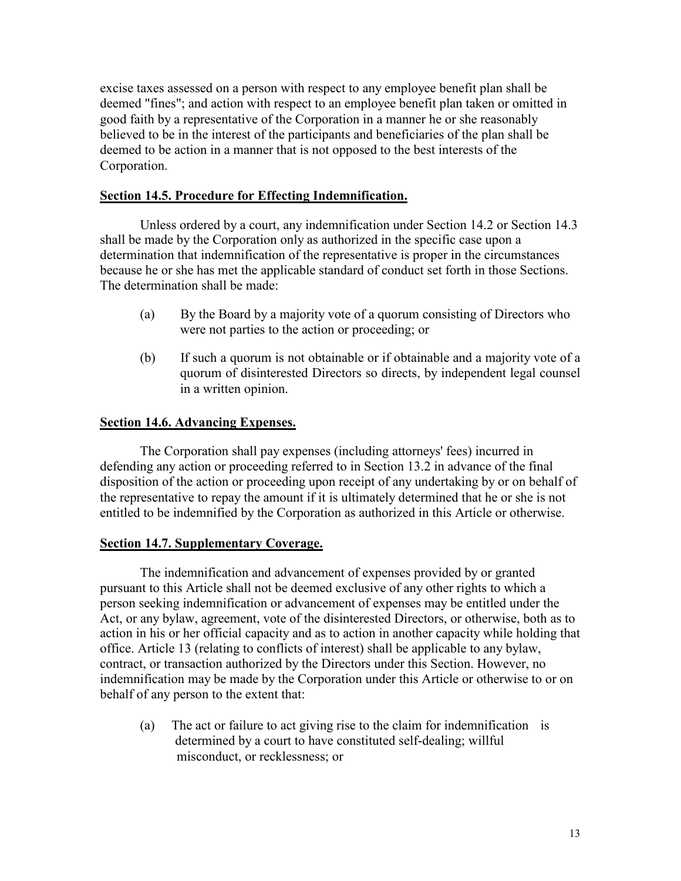excise taxes assessed on a person with respect to any employee benefit plan shall be deemed "fines"; and action with respect to an employee benefit plan taken or omitted in good faith by a representative of the Corporation in a manner he or she reasonably believed to be in the interest of the participants and beneficiaries of the plan shall be deemed to be action in a manner that is not opposed to the best interests of the Corporation.

# **Section 14.5. Procedure for Effecting Indemnification.**

Unless ordered by a court, any indemnification under Section 14.2 or Section 14.3 shall be made by the Corporation only as authorized in the specific case upon a determination that indemnification of the representative is proper in the circumstances because he or she has met the applicable standard of conduct set forth in those Sections. The determination shall be made:

- (a) By the Board by a majority vote of a quorum consisting of Directors who were not parties to the action or proceeding; or
- (b) If such a quorum is not obtainable or if obtainable and a majority vote of a quorum of disinterested Directors so directs, by independent legal counsel in a written opinion.

# **Section 14.6. Advancing Expenses.**

The Corporation shall pay expenses (including attorneys' fees) incurred in defending any action or proceeding referred to in Section 13.2 in advance of the final disposition of the action or proceeding upon receipt of any undertaking by or on behalf of the representative to repay the amount if it is ultimately determined that he or she is not entitled to be indemnified by the Corporation as authorized in this Article or otherwise.

# **Section 14.7. Supplementary Coverage.**

The indemnification and advancement of expenses provided by or granted pursuant to this Article shall not be deemed exclusive of any other rights to which a person seeking indemnification or advancement of expenses may be entitled under the Act, or any bylaw, agreement, vote of the disinterested Directors, or otherwise, both as to action in his or her official capacity and as to action in another capacity while holding that office. Article 13 (relating to conflicts of interest) shall be applicable to any bylaw, contract, or transaction authorized by the Directors under this Section. However, no indemnification may be made by the Corporation under this Article or otherwise to or on behalf of any person to the extent that:

(a) The act or failure to act giving rise to the claim for indemnification is determined by a court to have constituted self-dealing; willful misconduct, or recklessness; or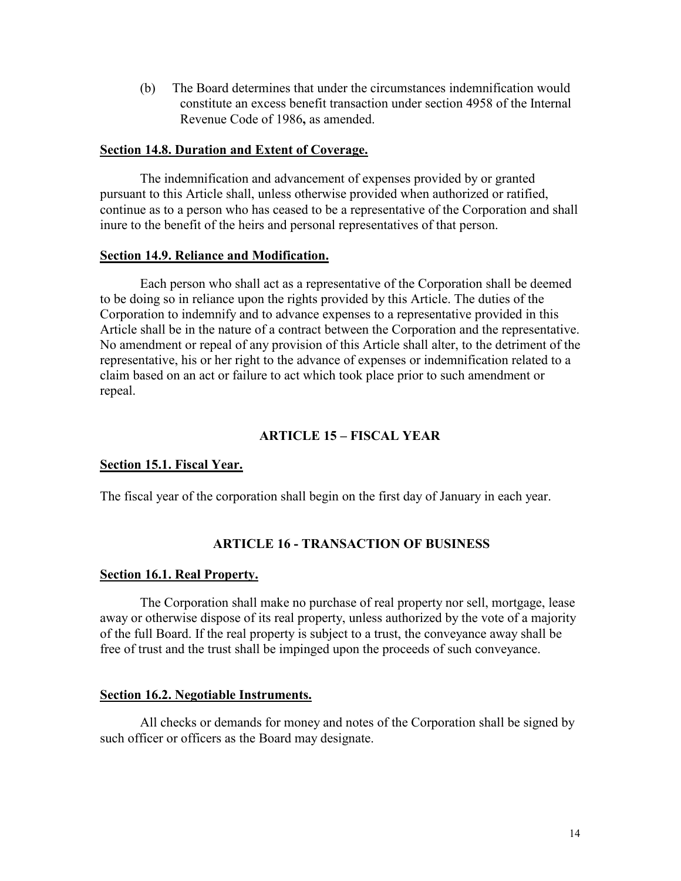(b) The Board determines that under the circumstances indemnification would constitute an excess benefit transaction under section 4958 of the Internal Revenue Code of 1986**,** as amended.

## **Section 14.8. Duration and Extent of Coverage.**

The indemnification and advancement of expenses provided by or granted pursuant to this Article shall, unless otherwise provided when authorized or ratified, continue as to a person who has ceased to be a representative of the Corporation and shall inure to the benefit of the heirs and personal representatives of that person.

## **Section 14.9. Reliance and Modification.**

Each person who shall act as a representative of the Corporation shall be deemed to be doing so in reliance upon the rights provided by this Article. The duties of the Corporation to indemnify and to advance expenses to a representative provided in this Article shall be in the nature of a contract between the Corporation and the representative. No amendment or repeal of any provision of this Article shall alter, to the detriment of the representative, his or her right to the advance of expenses or indemnification related to a claim based on an act or failure to act which took place prior to such amendment or repeal.

# **ARTICLE 15 – FISCAL YEAR**

## **Section 15.1. Fiscal Year.**

The fiscal year of the corporation shall begin on the first day of January in each year.

## **ARTICLE 16 - TRANSACTION OF BUSINESS**

## **Section 16.1. Real Property.**

The Corporation shall make no purchase of real property nor sell, mortgage, lease away or otherwise dispose of its real property, unless authorized by the vote of a majority of the full Board. If the real property is subject to a trust, the conveyance away shall be free of trust and the trust shall be impinged upon the proceeds of such conveyance.

## **Section 16.2. Negotiable Instruments.**

All checks or demands for money and notes of the Corporation shall be signed by such officer or officers as the Board may designate.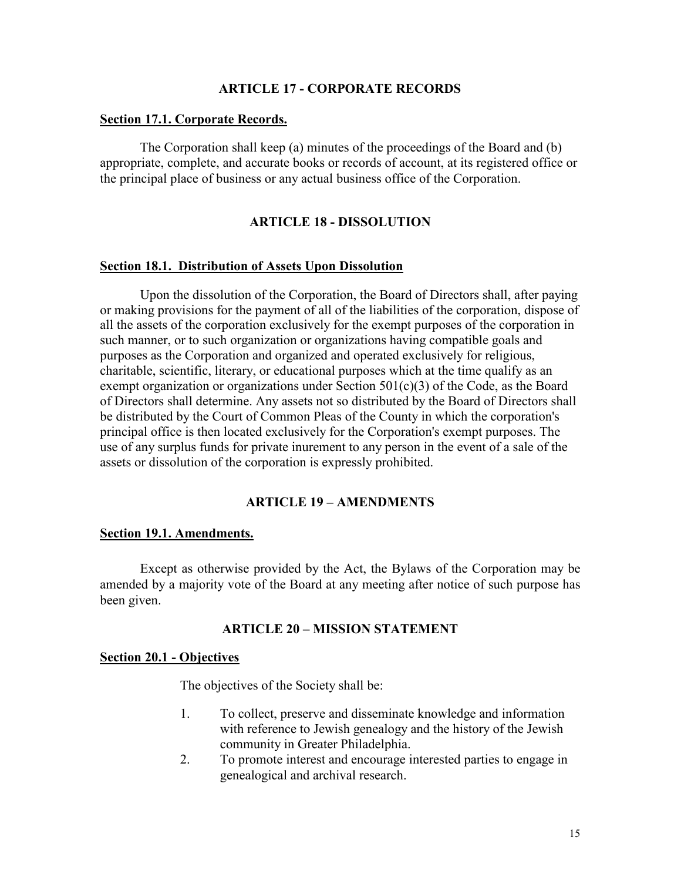#### **ARTICLE 17 - CORPORATE RECORDS**

#### **Section 17.1. Corporate Records.**

The Corporation shall keep (a) minutes of the proceedings of the Board and (b) appropriate, complete, and accurate books or records of account, at its registered office or the principal place of business or any actual business office of the Corporation.

## **ARTICLE 18 - DISSOLUTION**

#### **Section 18.1. Distribution of Assets Upon Dissolution**

Upon the dissolution of the Corporation, the Board of Directors shall, after paying or making provisions for the payment of all of the liabilities of the corporation, dispose of all the assets of the corporation exclusively for the exempt purposes of the corporation in such manner, or to such organization or organizations having compatible goals and purposes as the Corporation and organized and operated exclusively for religious, charitable, scientific, literary, or educational purposes which at the time qualify as an exempt organization or organizations under Section 501(c)(3) of the Code, as the Board of Directors shall determine. Any assets not so distributed by the Board of Directors shall be distributed by the Court of Common Pleas of the County in which the corporation's principal office is then located exclusively for the Corporation's exempt purposes. The use of any surplus funds for private inurement to any person in the event of a sale of the assets or dissolution of the corporation is expressly prohibited.

## **ARTICLE 19 – AMENDMENTS**

#### **Section 19.1. Amendments.**

 Except as otherwise provided by the Act, the Bylaws of the Corporation may be amended by a majority vote of the Board at any meeting after notice of such purpose has been given.

#### **ARTICLE 20 – MISSION STATEMENT**

## **Section 20.1 - Objectives**

The objectives of the Society shall be:

- 1. To collect, preserve and disseminate knowledge and information with reference to Jewish genealogy and the history of the Jewish community in Greater Philadelphia.
- 2. To promote interest and encourage interested parties to engage in genealogical and archival research.